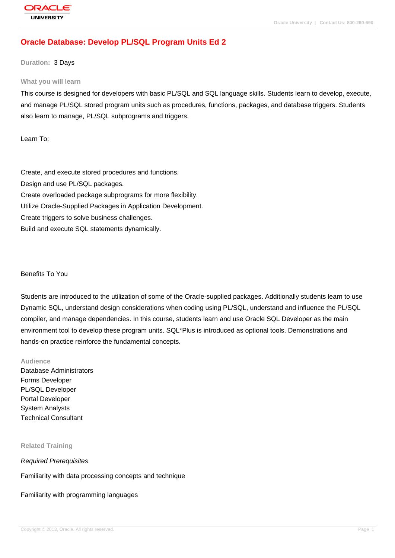# **[Oracle Databas](http://education.oracle.com/pls/web_prod-plq-dad/db_pages.getpage?page_id=3)e: Develop PL/SQL Program Units Ed 2**

#### **Duration:** 3 Days

#### **What you will learn**

This course is designed for developers with basic PL/SQL and SQL language skills. Students learn to develop, execute, and manage PL/SQL stored program units such as procedures, functions, packages, and database triggers. Students also learn to manage, PL/SQL subprograms and triggers.

Learn To:

Create, and execute stored procedures and functions. Design and use PL/SQL packages. Create overloaded package subprograms for more flexibility. Utilize Oracle-Supplied Packages in Application Development. Create triggers to solve business challenges. Build and execute SQL statements dynamically.

#### Benefits To You

Students are introduced to the utilization of some of the Oracle-supplied packages. Additionally students learn to use Dynamic SQL, understand design considerations when coding using PL/SQL, understand and influence the PL/SQL compiler, and manage dependencies. In this course, students learn and use Oracle SQL Developer as the main environment tool to develop these program units. SQL\*Plus is introduced as optional tools. Demonstrations and hands-on practice reinforce the fundamental concepts.

#### **Audience**

Database Administrators Forms Developer PL/SQL Developer Portal Developer System Analysts Technical Consultant

#### **Related Training**

Required Prerequisites

Familiarity with data processing concepts and technique

Familiarity with programming languages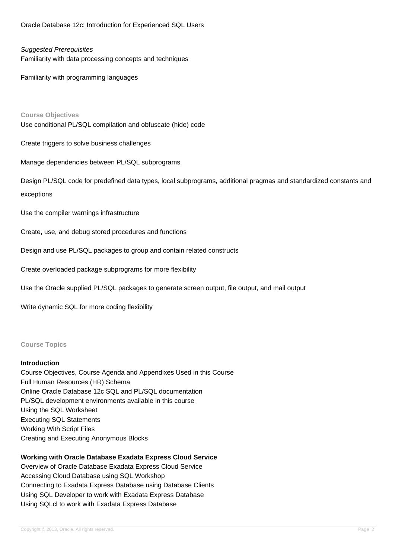Oracle Database 12c: Introduction for Experienced SQL Users

#### Suggested Prerequisites

Familiarity with data processing concepts and techniques

Familiarity with programming languages

#### **Course Objectives**

Use conditional PL/SQL compilation and obfuscate (hide) code

Create triggers to solve business challenges

Manage dependencies between PL/SQL subprograms

Design PL/SQL code for predefined data types, local subprograms, additional pragmas and standardized constants and exceptions

Use the compiler warnings infrastructure

Create, use, and debug stored procedures and functions

Design and use PL/SQL packages to group and contain related constructs

Create overloaded package subprograms for more flexibility

Use the Oracle supplied PL/SQL packages to generate screen output, file output, and mail output

Write dynamic SQL for more coding flexibility

#### **Course Topics**

#### **Introduction**

Course Objectives, Course Agenda and Appendixes Used in this Course Full Human Resources (HR) Schema Online Oracle Database 12c SQL and PL/SQL documentation PL/SQL development environments available in this course Using the SQL Worksheet Executing SQL Statements Working With Script Files Creating and Executing Anonymous Blocks

#### **Working with Oracle Database Exadata Express Cloud Service**

Overview of Oracle Database Exadata Express Cloud Service Accessing Cloud Database using SQL Workshop Connecting to Exadata Express Database using Database Clients Using SQL Developer to work with Exadata Express Database Using SQLcl to work with Exadata Express Database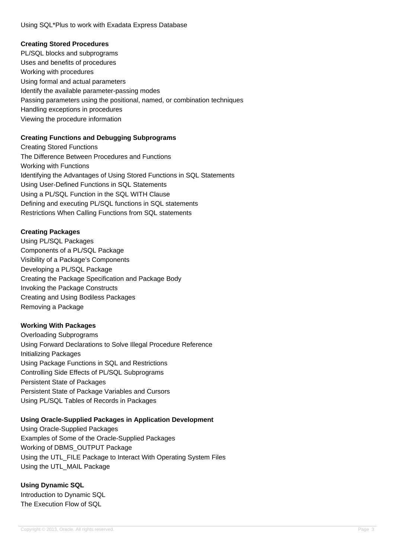# **Creating Stored Procedures**

PL/SQL blocks and subprograms Uses and benefits of procedures Working with procedures Using formal and actual parameters Identify the available parameter-passing modes Passing parameters using the positional, named, or combination techniques Handling exceptions in procedures Viewing the procedure information

# **Creating Functions and Debugging Subprograms**

Creating Stored Functions The Difference Between Procedures and Functions Working with Functions Identifying the Advantages of Using Stored Functions in SQL Statements Using User-Defined Functions in SQL Statements Using a PL/SQL Function in the SQL WITH Clause Defining and executing PL/SQL functions in SQL statements Restrictions When Calling Functions from SQL statements

# **Creating Packages**

Using PL/SQL Packages Components of a PL/SQL Package Visibility of a Package's Components Developing a PL/SQL Package Creating the Package Specification and Package Body Invoking the Package Constructs Creating and Using Bodiless Packages Removing a Package

## **Working With Packages**

Overloading Subprograms Using Forward Declarations to Solve Illegal Procedure Reference Initializing Packages Using Package Functions in SQL and Restrictions Controlling Side Effects of PL/SQL Subprograms Persistent State of Packages Persistent State of Package Variables and Cursors Using PL/SQL Tables of Records in Packages

## **Using Oracle-Supplied Packages in Application Development**

Using Oracle-Supplied Packages Examples of Some of the Oracle-Supplied Packages Working of DBMS\_OUTPUT Package Using the UTL\_FILE Package to Interact With Operating System Files Using the UTL\_MAIL Package

**Using Dynamic SQL** Introduction to Dynamic SQL The Execution Flow of SQL